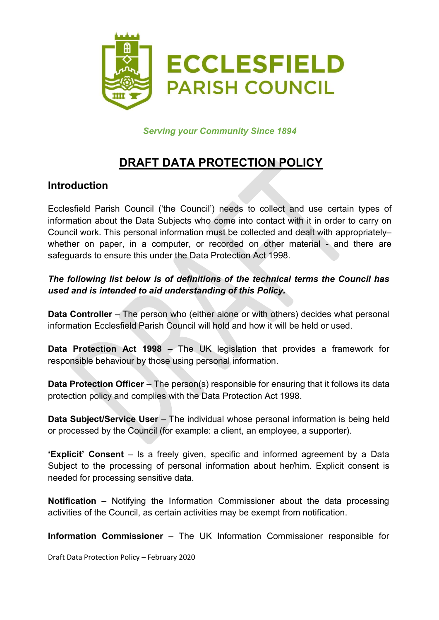

Serving your Community Since 1894

# DRAFT DATA PROTECTION POLICY

### Introduction

Ecclesfield Parish Council ('the Council') needs to collect and use certain types of information about the Data Subjects who come into contact with it in order to carry on Council work. This personal information must be collected and dealt with appropriately– whether on paper, in a computer, or recorded on other material - and there are safeguards to ensure this under the Data Protection Act 1998.

#### The following list below is of definitions of the technical terms the Council has used and is intended to aid understanding of this Policy.

Data Controller – The person who (either alone or with others) decides what personal information Ecclesfield Parish Council will hold and how it will be held or used.

Data Protection Act 1998 – The UK legislation that provides a framework for responsible behaviour by those using personal information.

Data Protection Officer – The person(s) responsible for ensuring that it follows its data protection policy and complies with the Data Protection Act 1998.

Data Subject/Service User - The individual whose personal information is being held or processed by the Council (for example: a client, an employee, a supporter).

'Explicit' Consent – Is a freely given, specific and informed agreement by a Data Subject to the processing of personal information about her/him. Explicit consent is needed for processing sensitive data.

Notification – Notifying the Information Commissioner about the data processing activities of the Council, as certain activities may be exempt from notification.

Information Commissioner – The UK Information Commissioner responsible for

Draft Data Protection Policy – February 2020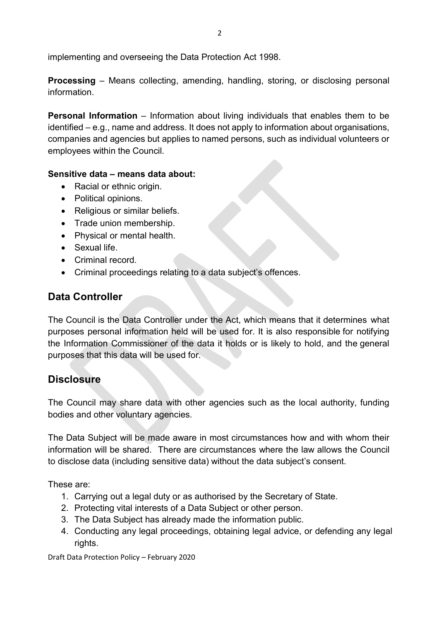implementing and overseeing the Data Protection Act 1998.

Processing – Means collecting, amending, handling, storing, or disclosing personal information.

Personal Information – Information about living individuals that enables them to be identified – e.g., name and address. It does not apply to information about organisations, companies and agencies but applies to named persons, such as individual volunteers or employees within the Council.

#### Sensitive data – means data about:

- Racial or ethnic origin.
- Political opinions.
- Religious or similar beliefs.
- Trade union membership.
- Physical or mental health.
- Sexual life.
- Criminal record.
- Criminal proceedings relating to a data subject's offences.

## Data Controller

The Council is the Data Controller under the Act, which means that it determines what purposes personal information held will be used for. It is also responsible for notifying the Information Commissioner of the data it holds or is likely to hold, and the general purposes that this data will be used for.

### **Disclosure**

The Council may share data with other agencies such as the local authority, funding bodies and other voluntary agencies.

The Data Subject will be made aware in most circumstances how and with whom their information will be shared. There are circumstances where the law allows the Council to disclose data (including sensitive data) without the data subject's consent.

These are:

- 1. Carrying out a legal duty or as authorised by the Secretary of State.
- 2. Protecting vital interests of a Data Subject or other person.
- 3. The Data Subject has already made the information public.
- 4. Conducting any legal proceedings, obtaining legal advice, or defending any legal rights.

Draft Data Protection Policy – February 2020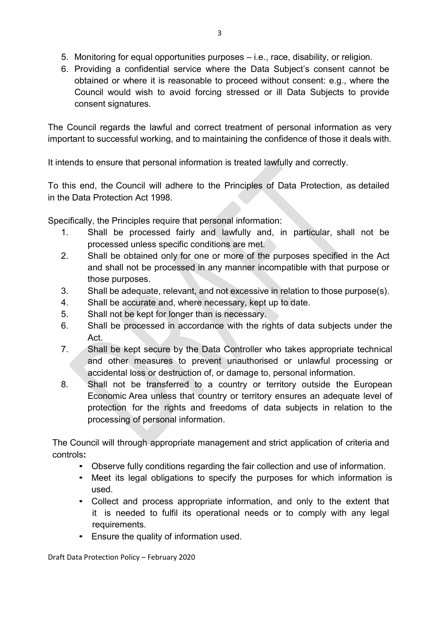- 5. Monitoring for equal opportunities purposes i.e., race, disability, or religion.
- 6. Providing a confidential service where the Data Subject's consent cannot be obtained or where it is reasonable to proceed without consent: e.g., where the Council would wish to avoid forcing stressed or ill Data Subjects to provide consent signatures.

The Council regards the lawful and correct treatment of personal information as very important to successful working, and to maintaining the confidence of those it deals with.

It intends to ensure that personal information is treated lawfully and correctly.

To this end, the Council will adhere to the Principles of Data Protection, as detailed in the Data Protection Act 1998.

Specifically, the Principles require that personal information:

- 1. Shall be processed fairly and lawfully and, in particular, shall not be processed unless specific conditions are met.
- 2. Shall be obtained only for one or more of the purposes specified in the Act and shall not be processed in any manner incompatible with that purpose or those purposes.
- 3. Shall be adequate, relevant, and not excessive in relation to those purpose(s).
- 4. Shall be accurate and, where necessary, kept up to date.
- 5. Shall not be kept for longer than is necessary.
- 6. Shall be processed in accordance with the rights of data subjects under the Act.
- 7. Shall be kept secure by the Data Controller who takes appropriate technical and other measures to prevent unauthorised or unlawful processing or accidental loss or destruction of, or damage to, personal information.
- 8. Shall not be transferred to a country or territory outside the European Economic Area unless that country or territory ensures an adequate level of protection for the rights and freedoms of data subjects in relation to the processing of personal information.

The Council will through appropriate management and strict application of criteria and controls:

- Observe fully conditions regarding the fair collection and use of information.
- Meet its legal obligations to specify the purposes for which information is used.
- Collect and process appropriate information, and only to the extent that it is needed to fulfil its operational needs or to comply with any legal requirements.
- Ensure the quality of information used.

Draft Data Protection Policy – February 2020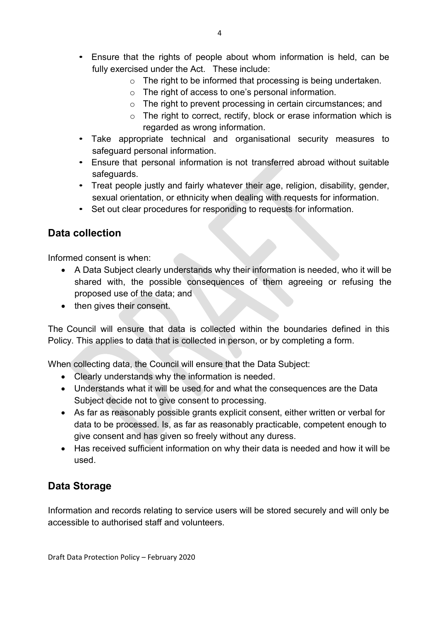- Ensure that the rights of people about whom information is held, can be fully exercised under the Act. These include:
	- $\circ$  The right to be informed that processing is being undertaken.
	- o The right of access to one's personal information.
	- o The right to prevent processing in certain circumstances; and
	- $\circ$  The right to correct, rectify, block or erase information which is regarded as wrong information.
- Take appropriate technical and organisational security measures to safeguard personal information.
- Ensure that personal information is not transferred abroad without suitable safeguards.
- Treat people justly and fairly whatever their age, religion, disability, gender, sexual orientation, or ethnicity when dealing with requests for information.
- Set out clear procedures for responding to requests for information.

### Data collection

Informed consent is when:

- A Data Subject clearly understands why their information is needed, who it will be shared with, the possible consequences of them agreeing or refusing the proposed use of the data; and
- then gives their consent.

The Council will ensure that data is collected within the boundaries defined in this Policy. This applies to data that is collected in person, or by completing a form.

When collecting data, the Council will ensure that the Data Subject:

- Clearly understands why the information is needed.
- Understands what it will be used for and what the consequences are the Data Subject decide not to give consent to processing.
- As far as reasonably possible grants explicit consent, either written or verbal for data to be processed. Is, as far as reasonably practicable, competent enough to give consent and has given so freely without any duress.
- Has received sufficient information on why their data is needed and how it will be used.

### Data Storage

Information and records relating to service users will be stored securely and will only be accessible to authorised staff and volunteers.